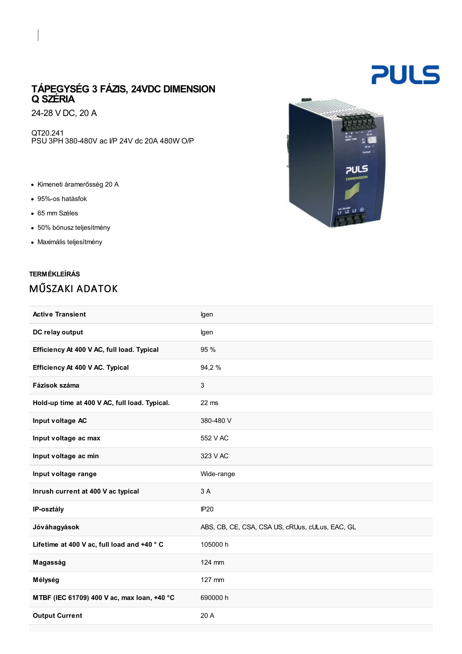## TÁPEGYSÉG 3 FÁZIS, 24VDC DIMENSION Q SZÉRIA

24-28 V DC, 20 A

QT20.241 PSU 3PH 380-480V ac I/P 24V dc 20A 480W O/P

- Kimeneti áramerősség 20 A
- 95%-os hatásfok
- 65 mm Széles
- 50% bónusz teljesítmény
- Maximális teljesítmény

## TERMÉKLEÍRÁS MŰSZAKI ADATOK

| ã.                                                      |
|---------------------------------------------------------|
| 1729<br>出地<br>oc or<br>Curion                           |
| <b>PULS</b>                                             |
| <b>OIMENSION</b>                                        |
| $\frac{18}{11}$ $\frac{17}{12}$ $\frac{13}{13}$ $\odot$ |
|                                                         |

| <b>Active Transient</b>                       | lgen                                            |
|-----------------------------------------------|-------------------------------------------------|
| DC relay output                               | lgen                                            |
| Efficiency At 400 V AC, full load. Typical    | 95 %                                            |
| Efficiency At 400 V AC. Typical               | 94,2 %                                          |
| Fázisok száma                                 | $\mathbf{3}$                                    |
| Hold-up time at 400 V AC, full load. Typical. | $22$ ms                                         |
| Input voltage AC                              | 380-480 V                                       |
| Input voltage ac max                          | 552 V AC                                        |
| Input voltage ac min                          | 323 V AC                                        |
| Input voltage range                           | Wide-range                                      |
| Inrush current at 400 V ac typical            | 3 A                                             |
| IP-osztály                                    | IP20                                            |
| Jóváhagyások                                  | ABS, CB, CE, CSA, CSA US, cRUus, cULus, EAC, GL |
| Lifetime at 400 V ac, full load and +40 °C    | 105000 h                                        |
| Magasság                                      | 124 mm                                          |
| Mélység                                       | 127 mm                                          |
| MTBF (IEC 61709) 400 V ac, max loan, +40 °C   | 690000 h                                        |
| <b>Output Current</b>                         | 20 A                                            |
|                                               |                                                 |

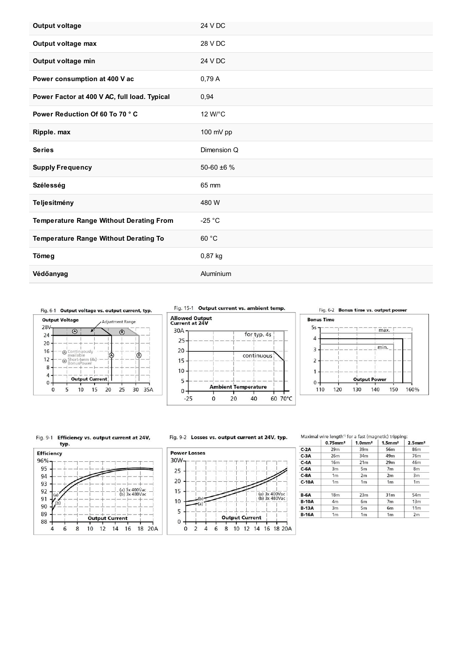| <b>Output voltage</b>                          | 24 V DC         |
|------------------------------------------------|-----------------|
| Output voltage max                             | 28 V DC         |
| Output voltage min                             | 24 V DC         |
| Power consumption at 400 V ac                  | 0.79A           |
| Power Factor at 400 V AC, full load. Typical   | 0,94            |
| Power Reduction Of 60 To 70 °C                 | 12 W/°C         |
| Ripple. max                                    | 100 mV pp       |
| <b>Series</b>                                  | Dimension Q     |
| <b>Supply Frequency</b>                        | 50-60 $\pm$ 6 % |
| <b>Szélesség</b>                               | 65 mm           |
| Teljesítmény                                   | 480 W           |
| <b>Temperature Range Without Derating From</b> | $-25 °C$        |
| <b>Temperature Range Without Derating To</b>   | 60 °C           |
| Tömeg                                          | 0,87 kg         |
| Védőanyag                                      | Alumínium       |



Fig. 15-1 Output current vs. ambient temp.



Fig. 6-2 Bonus time vs. output power



## Fig. 9-1 Efficiency vs. output current at 24V, typ.



## Fig. 9-2 Losses vs. output current at 24V, typ.



Maximal wire length<sup>+)</sup> for a fast (magnetic) tripping:

|              | $0.75$ mm <sup>2</sup> | $1.0$ mm <sup>2</sup> | $1.5$ mm <sup>2</sup> | $2.5$ mm <sup>2</sup> |
|--------------|------------------------|-----------------------|-----------------------|-----------------------|
| $C-2A$       | 29m                    | 39m                   | 56m                   | 86m                   |
| $C-3A$       | 26m                    | 34m                   | 49m                   | 76m                   |
| $C-4A$       | 16m                    | 21 <sub>m</sub>       | 29m                   | 46m                   |
| $C-6A$       | 3m                     | 5m                    | 7 <sub>m</sub>        | 8m                    |
| $C-8A$       | 1 <sub>m</sub>         | 2m                    | 2m                    | 3m                    |
| $C-10A$      | 1 <sub>m</sub>         | 1 <sub>m</sub>        | 1 <sub>m</sub>        | 1 <sub>m</sub>        |
| $B-6A$       | 18 <sub>m</sub>        | 23m                   | 31m                   | 54m                   |
| <b>B-10A</b> | 4m                     | 6 <sub>m</sub>        | 7 <sub>m</sub>        | 13 <sub>m</sub>       |
| $B-13A$      | 3m                     | 5 <sub>m</sub>        | 6 <sub>m</sub>        | 11 <sub>m</sub>       |
| <b>B-16A</b> | 1 <sub>m</sub>         | 1 <sub>m</sub>        | 1 <sub>m</sub>        | 2m                    |